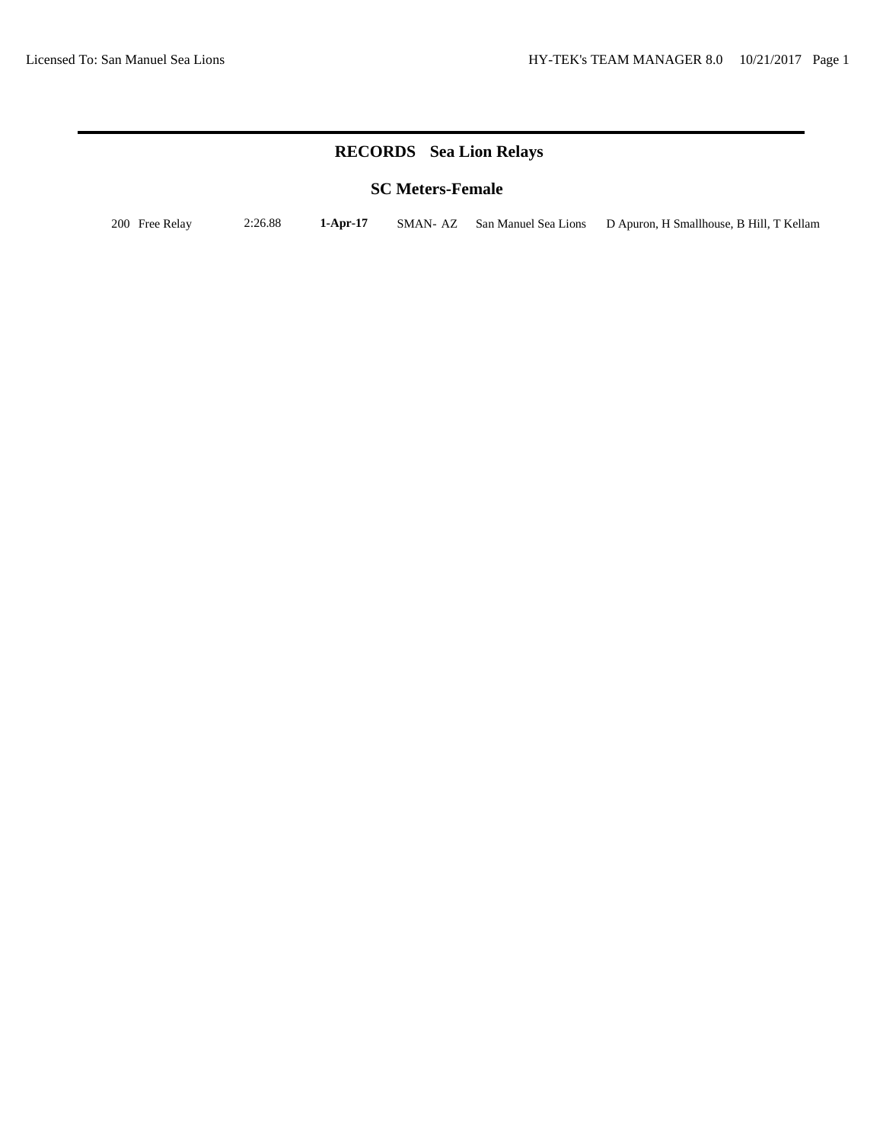# **RECORDS Sea Lion Relays**

## **SC Meters-Female**

200 Free Relay 2:26.88 **1-Apr-17** SMAN- AZ San Manuel Sea Lions D Apuron, H Smallhouse, B Hill, T Kellam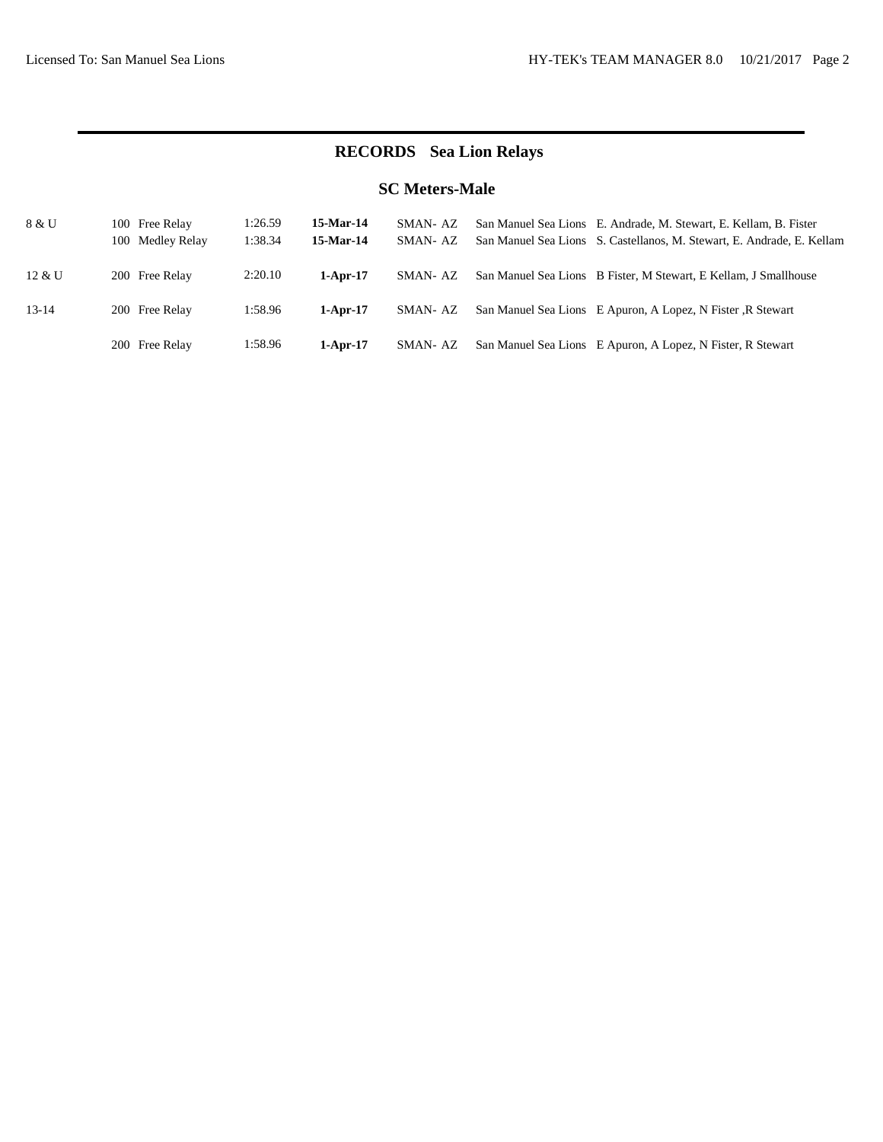# **RECORDS Sea Lion Relays**

## **SC Meters-Male**

| 8 & U     | 100 Free Relay   | 1:26.59 | 15-Mar-14  | SMAN-AZ  | San Manuel Sea Lions E. Andrade, M. Stewart, E. Kellam, B. Fister      |
|-----------|------------------|---------|------------|----------|------------------------------------------------------------------------|
|           | 100 Medley Relay | 1:38.34 | 15-Mar-14  | SMAN-AZ  | San Manuel Sea Lions S. Castellanos, M. Stewart, E. Andrade, E. Kellam |
|           |                  |         |            |          |                                                                        |
| 12 & U    | 200 Free Relay   | 2:20.10 | $1-Apr-17$ | SMAN-AZ  | San Manuel Sea Lions B Fister, M Stewart, E Kellam, J Smallhouse       |
|           |                  |         |            |          |                                                                        |
| $13 - 14$ | 200 Free Relay   | 1:58.96 | $1-Apr-17$ | SMAN-AZ  | San Manuel Sea Lions E Apuron, A Lopez, N Fister, R Stewart            |
|           |                  |         |            |          |                                                                        |
|           | 200 Free Relay   | 1:58.96 | $1-Apr-17$ | SMAN- AZ | San Manuel Sea Lions E Apuron, A Lopez, N Fister, R Stewart            |